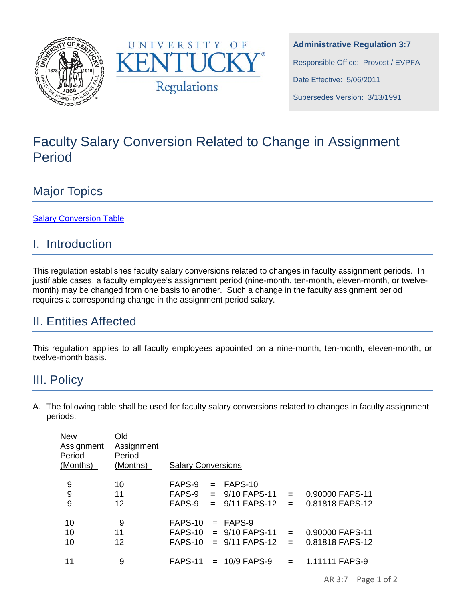



**Administrative Regulation 3:7** Responsible Office: Provost / EVPFA Date Effective: 5/06/2011 Supersedes Version: 3/13/1991

# Faculty Salary Conversion Related to Change in Assignment Period

## Major Topics

[Salary Conversion Table](#page-0-0)

## I. Introduction

This regulation establishes faculty salary conversions related to changes in faculty assignment periods. In justifiable cases, a faculty employee's assignment period (nine-month, ten-month, eleven-month, or twelvemonth) may be changed from one basis to another. Such a change in the faculty assignment period requires a corresponding change in the assignment period salary.

## II. Entities Affected

This regulation applies to all faculty employees appointed on a nine-month, ten-month, eleven-month, or twelve-month basis.

## <span id="page-0-0"></span>III. Policy

A. The following table shall be used for faculty salary conversions related to changes in faculty assignment periods:

| <b>New</b><br>Assignment<br>Period<br>(Months) | Old<br>Assignment<br>Period<br>(Months) | <b>Salary Conversions</b>                |     |                                                                       |                        |                                                      |  |
|------------------------------------------------|-----------------------------------------|------------------------------------------|-----|-----------------------------------------------------------------------|------------------------|------------------------------------------------------|--|
| 9<br>9<br>9                                    | 10<br>11<br>12                          | FAPS-9<br>$FAPS-9 =$<br>FAPS-9           | $=$ | $=$ FAPS-10<br>9/10 FAPS-11<br>$9/11$ FAPS-12 =                       | $\equiv$               | 0.90000 FAPS-11<br>0.81818 FAPS-12                   |  |
| 10<br>10<br>10<br>11                           | 9<br>11<br>12<br>9                      | FAPS-10<br>FAPS-10<br>FAPS-10<br>FAPS-11 |     | $=$ FAPS-9<br>$= 9/10$ FAPS-11<br>$= 9/11$ FAPS-12<br>$= 10/9$ FAPS-9 | $\equiv$<br>$=$<br>$=$ | 0.90000 FAPS-11<br>0.81818 FAPS-12<br>1.11111 FAPS-9 |  |